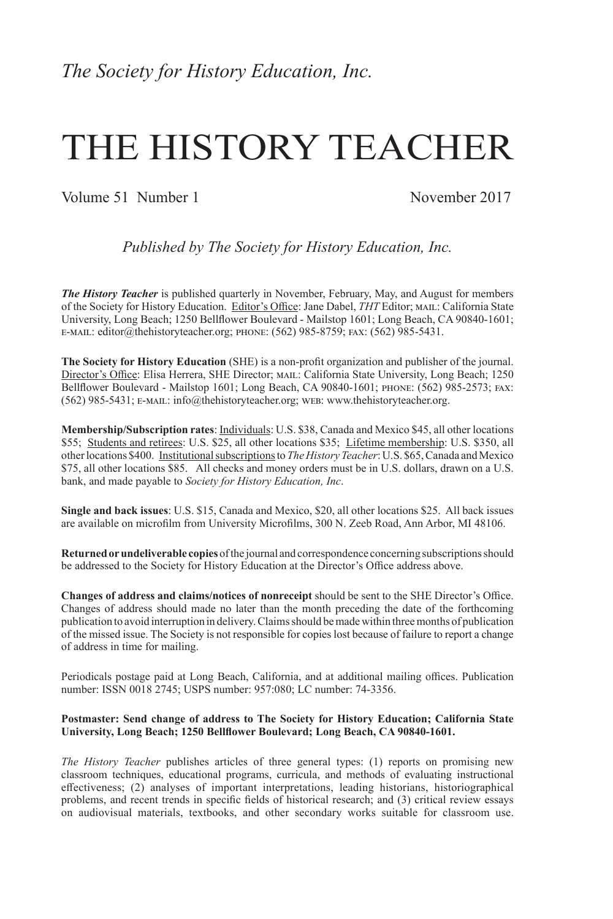# THE HISTORY TEACHER

Volume 51 Number 1 November 2017

*Published by The Society for History Education, Inc.*

*The History Teacher* is published quarterly in November, February, May, and August for members of the Society for History Education. Editor's Office: Jane Dabel, THT Editor; MAIL: California State University, Long Beach; 1250 Bellflower Boulevard - Mailstop 1601; Long Beach, CA 90840-1601; e-mail: editor@thehistoryteacher.org; phone: (562) 985-8759; fax: (562) 985-5431.

**The Society for History Education** (SHE) is a non-profit organization and publisher of the journal. Director's Office: Elisa Herrera, SHE Director; MAIL: California State University, Long Beach; 1250 Bellflower Boulevard - Mailstop 1601; Long Beach, CA 90840-1601; phone: (562) 985-2573; fax: (562) 985-5431; e-mail: info@thehistoryteacher.org; web: www.thehistoryteacher.org.

**Membership/Subscription rates**: Individuals: U.S. \$38, Canada and Mexico \$45, all other locations \$55; Students and retirees: U.S. \$25, all other locations \$35; Lifetime membership: U.S. \$350, all other locations \$400. Institutional subscriptions to *The History Teacher*: U.S. \$65, Canada and Mexico \$75, all other locations \$85. All checks and money orders must be in U.S. dollars, drawn on a U.S. bank, and made payable to *Society for History Education, Inc*.

**Single and back issues**: U.S. \$15, Canada and Mexico, \$20, all other locations \$25. All back issues are available on microfilm from University Microfilms, 300 N. Zeeb Road, Ann Arbor, MI 48106.

**Returned or undeliverable copies** of the journal and correspondence concerning subscriptions should be addressed to the Society for History Education at the Director's Office address above.

**Changes of address and claims/notices of nonreceipt** should be sent to the SHE Director's Office. Changes of address should made no later than the month preceding the date of the forthcoming publication to avoid interruption in delivery. Claims should be made within three months of publication of the missed issue. The Society is not responsible for copies lost because of failure to report a change of address in time for mailing.

Periodicals postage paid at Long Beach, California, and at additional mailing offices. Publication number: ISSN 0018 2745; USPS number: 957:080; LC number: 74-3356.

#### **Postmaster: Send change of address to The Society for History Education; California State University, Long Beach; 1250 Bellflower Boulevard; Long Beach, CA 90840-1601.**

*The History Teacher* publishes articles of three general types: (1) reports on promising new classroom techniques, educational programs, curricula, and methods of evaluating instructional effectiveness; (2) analyses of important interpretations, leading historians, historiographical problems, and recent trends in specific fields of historical research; and (3) critical review essays on audiovisual materials, textbooks, and other secondary works suitable for classroom use.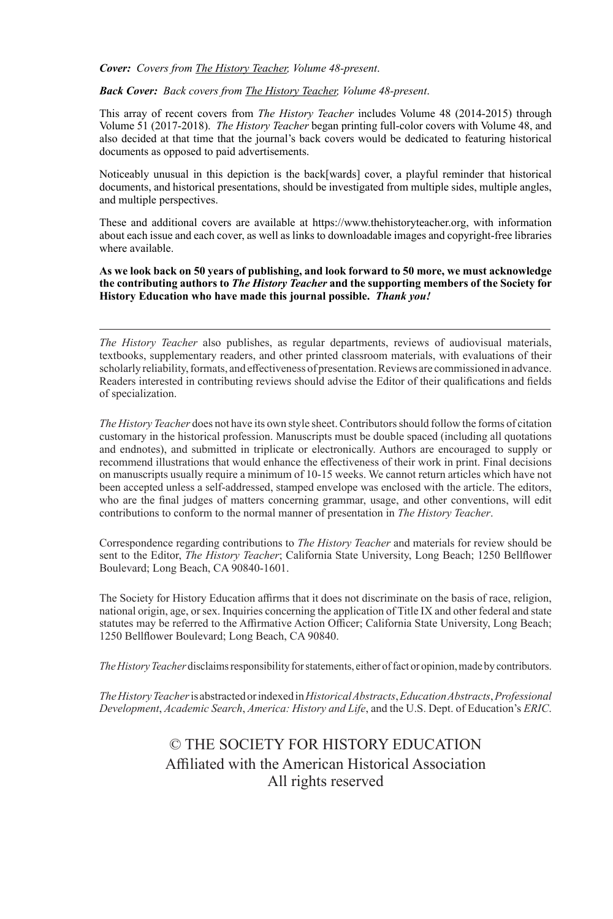*Cover: Covers from The History Teacher, Volume 48-present*.

*Back Cover:**Back covers from The History Teacher, Volume 48-present*.

This array of recent covers from *The History Teacher* includes Volume 48 (2014-2015) through Volume 51 (2017-2018). *The History Teacher* began printing full-color covers with Volume 48, and also decided at that time that the journal's back covers would be dedicated to featuring historical documents as opposed to paid advertisements.

Noticeably unusual in this depiction is the back[wards] cover, a playful reminder that historical documents, and historical presentations, should be investigated from multiple sides, multiple angles, and multiple perspectives.

These and additional covers are available at https://www.thehistoryteacher.org, with information about each issue and each cover, as well as links to downloadable images and copyright-free libraries where available.

**As we look back on 50 years of publishing, and look forward to 50 more, we must acknowledge the contributing authors to** *The History Teacher* **and the supporting members of the Society for History Education who have made this journal possible.** *Thank you!*

*The History Teacher* also publishes, as regular departments, reviews of audiovisual materials, textbooks, supplementary readers, and other printed classroom materials, with evaluations of their scholarly reliability, formats, and effectiveness of presentation. Reviews are commissioned in advance. Readers interested in contributing reviews should advise the Editor of their qualifications and fields of specialization.

*The History Teacher* does not have its own style sheet. Contributors should follow the forms of citation customary in the historical profession. Manuscripts must be double spaced (including all quotations and endnotes), and submitted in triplicate or electronically. Authors are encouraged to supply or recommend illustrations that would enhance the effectiveness of their work in print. Final decisions on manuscripts usually require a minimum of 10-15 weeks. We cannot return articles which have not been accepted unless a self-addressed, stamped envelope was enclosed with the article. The editors, who are the final judges of matters concerning grammar, usage, and other conventions, will edit contributions to conform to the normal manner of presentation in *The History Teacher*.

Correspondence regarding contributions to *The History Teacher* and materials for review should be sent to the Editor, *The History Teacher*; California State University, Long Beach; 1250 Bellflower Boulevard; Long Beach, CA 90840-1601.

The Society for History Education affirms that it does not discriminate on the basis of race, religion, national origin, age, or sex. Inquiries concerning the application of Title IX and other federal and state statutes may be referred to the Affirmative Action Officer; California State University, Long Beach; 1250 Bellflower Boulevard; Long Beach, CA 90840.

*The History Teacher* disclaims responsibility for statements, either of fact or opinion, made by contributors.

*The History Teacher* is abstracted or indexed in *Historical Abstracts*, *Education Abstracts*, *Professional Development*, *Academic Search*, *America: History and Life*, and the U.S. Dept. of Education's *ERIC*.

# © THE SOCIETY FOR HISTORY EDUCATION Affiliated with the American Historical Association All rights reserved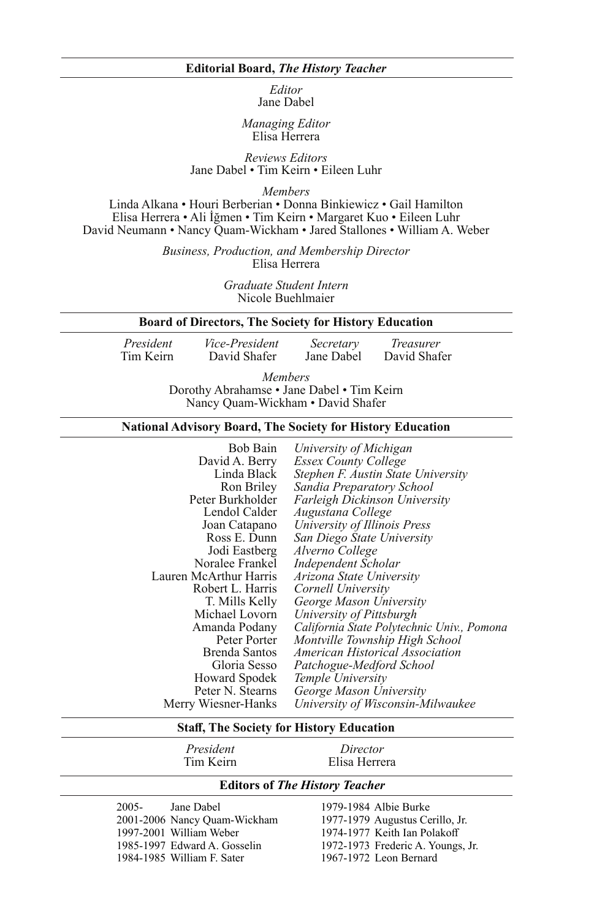#### **Editorial Board,** *The History Teacher*

*Editor* Jane Dabel

*Managing Editor* Elisa Herrera

*Reviews Editors* Jane Dabel • Tim Keirn • Eileen Luhr

*Members*

Linda Alkana • Houri Berberian • Donna Binkiewicz • Gail Hamilton Elisa Herrera • Ali İğmen • Tim Keirn • Margaret Kuo • Eileen Luhr David Neumann • Nancy Quam-Wickham • Jared Stallones • William A. Weber

> *Business, Production, and Membership Director* Elisa Herrera

> > *Graduate Student Intern* Nicole Buehlmaier

#### **Board of Directors, The Society for History Education**

| President | <i>Vice-President</i> | Secretary  | <i>Treasurer</i> |
|-----------|-----------------------|------------|------------------|
| Tim Keirn | David Shafer          | Jane Dabel | David Shafer     |

*Members* Dorothy Abrahamse • Jane Dabel • Tim Keirn Nancy Quam-Wickham • David Shafer

#### **National Advisory Board, The Society for History Education**

| Bob Bain               | University of Michigan                     |
|------------------------|--------------------------------------------|
| David A. Berry         | <b>Essex County College</b>                |
| Linda Black            | Stephen F. Austin State University         |
| Ron Briley             | Sandia Preparatory School                  |
| Peter Burkholder       | Farleigh Dickinson University              |
| Lendol Calder          | Augustana College                          |
| Joan Catapano          | University of Illinois Press               |
| Ross E. Dunn           | San Diego State University                 |
| Jodi Eastberg          | Alverno College                            |
| Noralee Frankel        | Independent Scholar                        |
| Lauren McArthur Harris | Arizona State University                   |
| Robert L. Harris       | Cornell University                         |
| T. Mills Kelly         | George Mason University                    |
| Michael Lovorn         | University of Pittsburgh                   |
| Amanda Podany          | California State Polytechnic Univ., Pomona |
| Peter Porter           | Montville Township High School             |
| Brenda Santos          | American Historical Association            |
| Gloria Sesso           | Patchogue-Medford School                   |
| Howard Spodek          | Temple University                          |
| Peter N. Stearns       | George Mason University                    |
| Merry Wiesner-Hanks    | University of Wisconsin-Milwaukee          |

#### **Staff, The Society for History Education**

 *President Director*

Elisa Herrera

#### **Editors of** *The History Teacher*

2005- Jane Dabel 1979-1984 Albie Burke<br>2001-2006 Nancy Quam-Wickham 1977-1979 Augustus Cerillo, Jr. 2001-2006 Nancy Quam-Wickham 1977-1979 Augustus Cerillo, J<br>1997-2001 William Weber 1974-1977 Keith Ian Polakoff 1997-2001 William Weber<br>1985-1997 Edward A. Gosselin 1984-1985 William F. Sater 1967-1972 Leon Bernard

1972-1973 Frederic A. Youngs, Jr.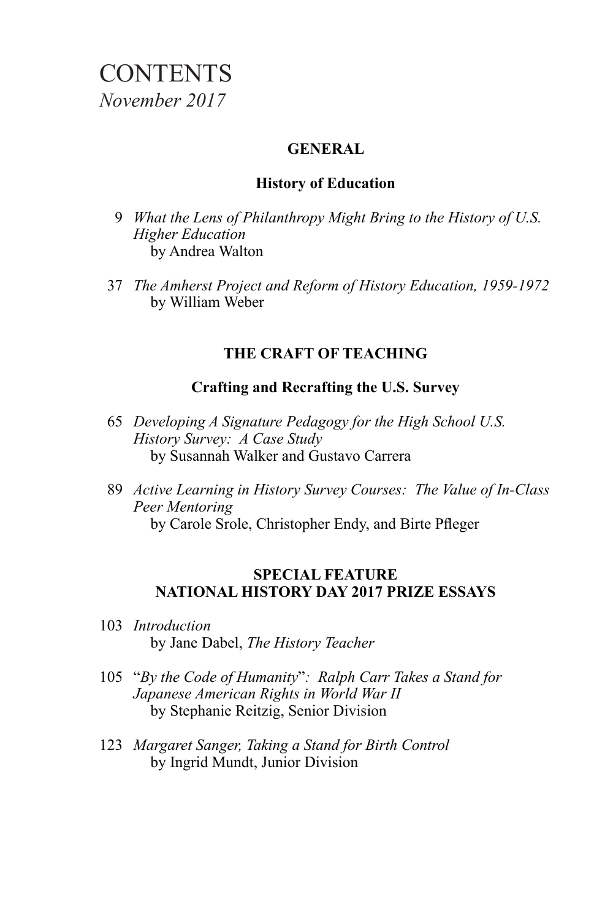# **CONTENTS** *November 2017*

## **GENERAL**

## **History of Education**

- 9 *What the Lens of Philanthropy Might Bring to the History of U.S. Higher Education* by Andrea Walton
- 37 *The Amherst Project and Reform of History Education, 1959-1972* by William Weber

# **THE CRAFT OF TEACHING**

## **Crafting and Recrafting the U.S. Survey**

- 65 *Developing A Signature Pedagogy for the High School U.S. History Survey: A Case Study* by Susannah Walker and Gustavo Carrera
- 89 *Active Learning in History Survey Courses: The Value of In-Class Peer Mentoring* by Carole Srole, Christopher Endy, and Birte Pfleger

## **SPECIAL FEATURE NATIONAL HISTORY DAY 2017 PRIZE ESSAYS**

- 103 *Introduction* by Jane Dabel, *The History Teacher*
- 105 "*By the Code of Humanity*"*: Ralph Carr Takes a Stand for Japanese American Rights in World War II* by Stephanie Reitzig, Senior Division
- 123 *Margaret Sanger, Taking a Stand for Birth Control* by Ingrid Mundt, Junior Division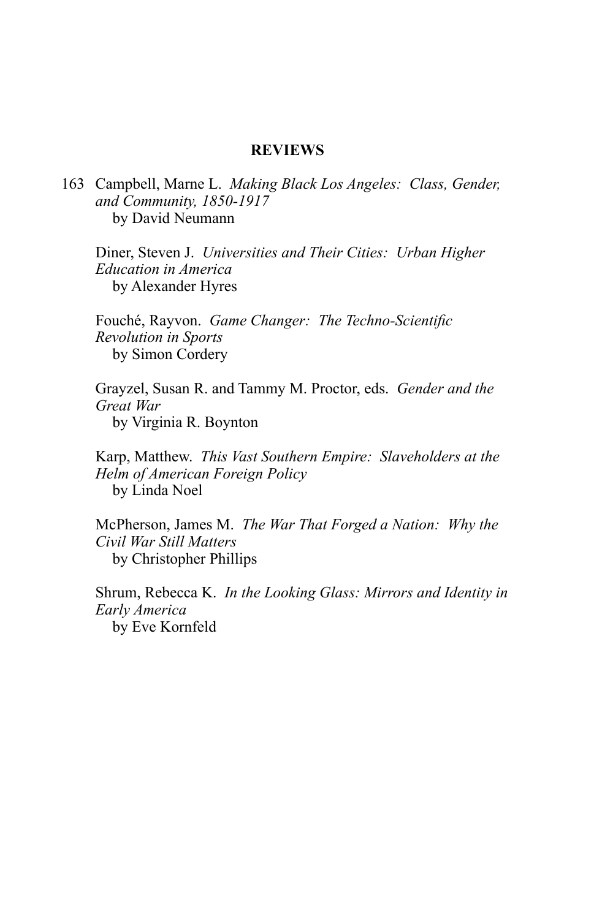#### **REVIEWS**

163 Campbell, Marne L. *Making Black Los Angeles: Class, Gender, and Community, 1850-1917* by David Neumann

Diner, Steven J. *Universities and Their Cities: Urban Higher Education in America* by Alexander Hyres

Fouché, Rayvon. *Game Changer: The Techno-Scientific Revolution in Sports* by Simon Cordery

Grayzel, Susan R. and Tammy M. Proctor, eds. *Gender and the Great War* by Virginia R. Boynton

Karp, Matthew. *This Vast Southern Empire: Slaveholders at the Helm of American Foreign Policy* by Linda Noel

McPherson, James M. *The War That Forged a Nation: Why the Civil War Still Matters* by Christopher Phillips

Shrum, Rebecca K. *In the Looking Glass: Mirrors and Identity in Early America* by Eve Kornfeld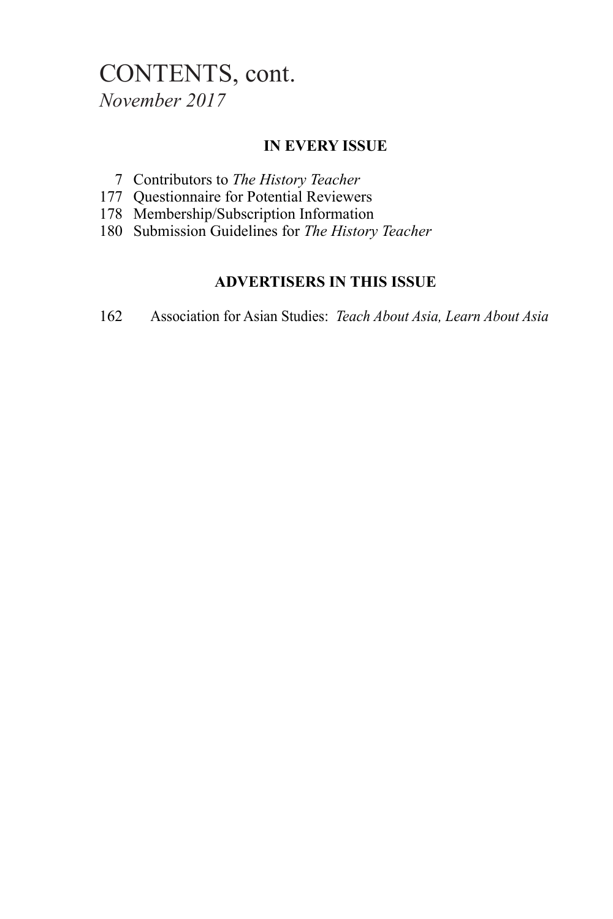# CONTENTS, cont. *November 2017*

### **IN EVERY ISSUE**

- 7 Contributors to *The History Teacher*
- 177 Questionnaire for Potential Reviewers
- 178 Membership/Subscription Information
- 180 Submission Guidelines for *The History Teacher*

## **ADVERTISERS IN THIS ISSUE**

162 Association for Asian Studies: *Teach About Asia, Learn About Asia*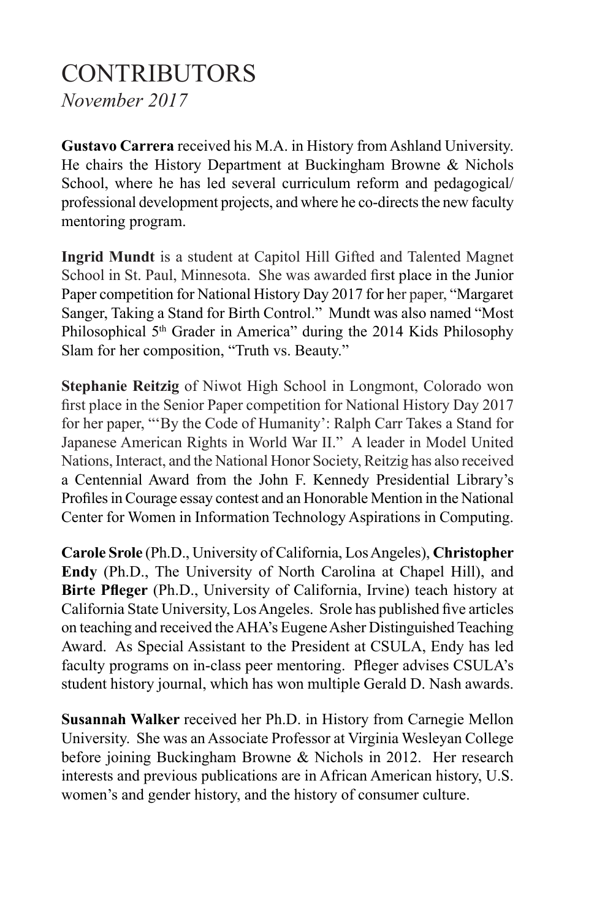# CONTRIBUTORS *November 2017*

**Gustavo Carrera** received his M.A. in History from Ashland University. He chairs the History Department at Buckingham Browne & Nichols School, where he has led several curriculum reform and pedagogical/ professional development projects, and where he co-directs the new faculty mentoring program.

**Ingrid Mundt** is a student at Capitol Hill Gifted and Talented Magnet School in St. Paul, Minnesota. She was awarded first place in the Junior Paper competition for National History Day 2017 for her paper, "Margaret Sanger, Taking a Stand for Birth Control." Mundt was also named "Most Philosophical 5<sup>th</sup> Grader in America" during the 2014 Kids Philosophy Slam for her composition, "Truth vs. Beauty."

**Stephanie Reitzig** of Niwot High School in Longmont, Colorado won first place in the Senior Paper competition for National History Day 2017 for her paper, "'By the Code of Humanity': Ralph Carr Takes a Stand for Japanese American Rights in World War II." A leader in Model United Nations, Interact, and the National Honor Society, Reitzig has also received a Centennial Award from the John F. Kennedy Presidential Library's Profiles in Courage essay contest and an Honorable Mention in the National Center for Women in Information Technology Aspirations in Computing.

**Carole Srole** (Ph.D., University of California, Los Angeles), **Christopher Endy** (Ph.D., The University of North Carolina at Chapel Hill), and **Birte Pfleger** (Ph.D., University of California, Irvine) teach history at California State University, Los Angeles. Srole has published five articles on teaching and received the AHA's Eugene Asher Distinguished Teaching Award. As Special Assistant to the President at CSULA, Endy has led faculty programs on in-class peer mentoring. Pfleger advises CSULA's student history journal, which has won multiple Gerald D. Nash awards.

**Susannah Walker** received her Ph.D. in History from Carnegie Mellon University. She was an Associate Professor at Virginia Wesleyan College before joining Buckingham Browne & Nichols in 2012. Her research interests and previous publications are in African American history, U.S. women's and gender history, and the history of consumer culture.